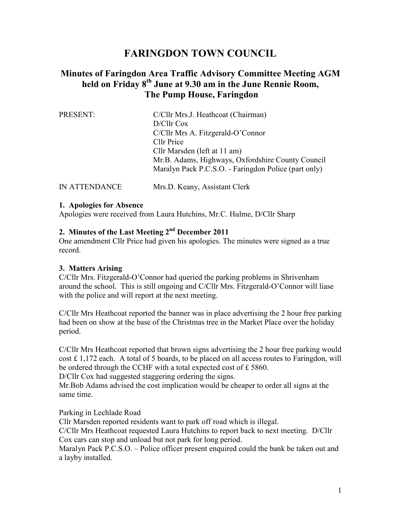# **FARINGDON TOWN COUNCIL**

# **Minutes of Faringdon Area Traffic Advisory Committee Meeting AGM held on Friday 8th June at 9.30 am in the June Rennie Room, The Pump House, Faringdon**

| PRESENT: | C/Cllr Mrs.J. Heathcoat (Chairman)                   |
|----------|------------------------------------------------------|
|          | D/Cllr Cox                                           |
|          | C/Cllr Mrs A. Fitzgerald-O'Connor                    |
|          | Cllr Price                                           |
|          | Cllr Marsden (left at 11 am)                         |
|          | Mr.B. Adams, Highways, Oxfordshire County Council    |
|          | Maralyn Pack P.C.S.O. - Faringdon Police (part only) |
|          |                                                      |

IN ATTENDANCE Mrs.D. Keany, Assistant Clerk

#### **1. Apologies for Absence**

Apologies were received from Laura Hutchins, Mr.C. Hulme, D/Cllr Sharp

# **2. Minutes of the Last Meeting 2nd December 2011**

One amendment Cllr Price had given his apologies. The minutes were signed as a true record.

#### **3. Matters Arising**

C/Cllr Mrs. Fitzgerald-O'Connor had queried the parking problems in Shrivenham around the school. This is still ongoing and C/Cllr Mrs. Fitzgerald-O'Connor will liase with the police and will report at the next meeting.

C/Cllr Mrs Heathcoat reported the banner was in place advertising the 2 hour free parking had been on show at the base of the Christmas tree in the Market Place over the holiday period.

C/Cllr Mrs Heathcoat reported that brown signs advertising the 2 hour free parking would cost  $\pounds$  1,172 each. A total of 5 boards, to be placed on all access routes to Faringdon, will be ordered through the CCHF with a total expected cost of £ 5860.

D/Cllr Cox had suggested staggering ordering the signs.

Mr.Bob Adams advised the cost implication would be cheaper to order all signs at the same time.

Parking in Lechlade Road

Cllr Marsden reported residents want to park off road which is illegal.

C/Cllr Mrs Heathcoat requested Laura Hutchins to report back to next meeting. D/Cllr Cox cars can stop and unload but not park for long period.

Maralyn Pack P.C.S.O. – Police officer present enquired could the bank be taken out and a layby installed.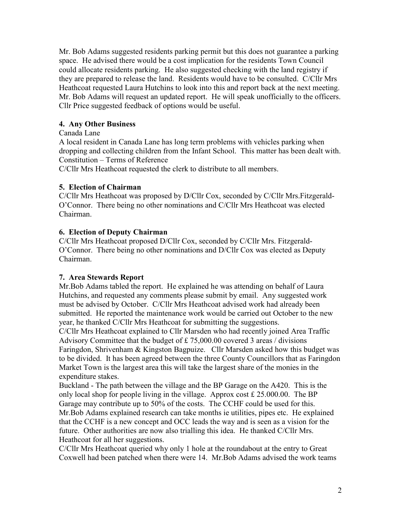Mr. Bob Adams suggested residents parking permit but this does not guarantee a parking space. He advised there would be a cost implication for the residents Town Council could allocate residents parking. He also suggested checking with the land registry if they are prepared to release the land. Residents would have to be consulted. C/Cllr Mrs Heathcoat requested Laura Hutchins to look into this and report back at the next meeting. Mr. Bob Adams will request an updated report. He will speak unofficially to the officers. Cllr Price suggested feedback of options would be useful.

## **4. Any Other Business**

#### Canada Lane

A local resident in Canada Lane has long term problems with vehicles parking when dropping and collecting children from the Infant School. This matter has been dealt with. Constitution – Terms of Reference

C/Cllr Mrs Heathcoat requested the clerk to distribute to all members.

#### **5. Election of Chairman**

C/Cllr Mrs Heathcoat was proposed by D/Cllr Cox, seconded by C/Cllr Mrs.Fitzgerald-O'Connor. There being no other nominations and C/Cllr Mrs Heathcoat was elected Chairman.

## **6. Election of Deputy Chairman**

C/Cllr Mrs Heathcoat proposed D/Cllr Cox, seconded by C/Cllr Mrs. Fitzgerald-O'Connor. There being no other nominations and D/Cllr Cox was elected as Deputy Chairman.

#### **7. Area Stewards Report**

Mr.Bob Adams tabled the report. He explained he was attending on behalf of Laura Hutchins, and requested any comments please submit by email. Any suggested work must be advised by October. C/Cllr Mrs Heathcoat advised work had already been submitted. He reported the maintenance work would be carried out October to the new year, he thanked C/Cllr Mrs Heathcoat for submitting the suggestions.

C/Cllr Mrs Heathcoat explained to Cllr Marsden who had recently joined Area Traffic Advisory Committee that the budget of £ 75,000.00 covered 3 areas / divisions Faringdon, Shrivenham & Kingston Bagpuize. Cllr Marsden asked how this budget was to be divided. It has been agreed between the three County Councillors that as Faringdon Market Town is the largest area this will take the largest share of the monies in the expenditure stakes.

Buckland - The path between the village and the BP Garage on the A420. This is the only local shop for people living in the village. Approx cost  $£ 25.000.00$ . The BP Garage may contribute up to 50% of the costs. The CCHF could be used for this. Mr.Bob Adams explained research can take months ie utilities, pipes etc. He explained that the CCHF is a new concept and OCC leads the way and is seen as a vision for the future. Other authorities are now also trialling this idea. He thanked C/Cllr Mrs. Heathcoat for all her suggestions.

C/Cllr Mrs Heathcoat queried why only 1 hole at the roundabout at the entry to Great Coxwell had been patched when there were 14. Mr.Bob Adams advised the work teams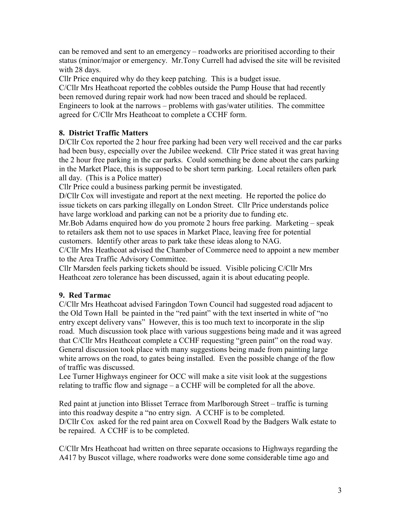can be removed and sent to an emergency – roadworks are prioritised according to their status (minor/major or emergency. Mr.Tony Currell had advised the site will be revisited with 28 days.

Cllr Price enquired why do they keep patching. This is a budget issue.

C/Cllr Mrs Heathcoat reported the cobbles outside the Pump House that had recently been removed during repair work had now been traced and should be replaced. Engineers to look at the narrows – problems with gas/water utilities. The committee agreed for C/Cllr Mrs Heathcoat to complete a CCHF form.

# **8. District Traffic Matters**

D/Cllr Cox reported the 2 hour free parking had been very well received and the car parks had been busy, especially over the Jubilee weekend. Cllr Price stated it was great having the 2 hour free parking in the car parks. Could something be done about the cars parking in the Market Place, this is supposed to be short term parking. Local retailers often park all day. (This is a Police matter)

Cllr Price could a business parking permit be investigated.

D/Cllr Cox will investigate and report at the next meeting. He reported the police do issue tickets on cars parking illegally on London Street. Cllr Price understands police have large workload and parking can not be a priority due to funding etc.

Mr.Bob Adams enquired how do you promote 2 hours free parking. Marketing – speak to retailers ask them not to use spaces in Market Place, leaving free for potential customers. Identify other areas to park take these ideas along to NAG.

C/Cllr Mrs Heathcoat advised the Chamber of Commerce need to appoint a new member to the Area Traffic Advisory Committee.

Cllr Marsden feels parking tickets should be issued. Visible policing C/Cllr Mrs Heathcoat zero tolerance has been discussed, again it is about educating people.

#### **9. Red Tarmac**

C/Cllr Mrs Heathcoat advised Faringdon Town Council had suggested road adjacent to the Old Town Hall be painted in the "red paint" with the text inserted in white of "no entry except delivery vans" However, this is too much text to incorporate in the slip road. Much discussion took place with various suggestions being made and it was agreed that C/Cllr Mrs Heathcoat complete a CCHF requesting "green paint" on the road way. General discussion took place with many suggestions being made from painting large white arrows on the road, to gates being installed. Even the possible change of the flow of traffic was discussed.

Lee Turner Highways engineer for OCC will make a site visit look at the suggestions relating to traffic flow and signage – a CCHF will be completed for all the above.

Red paint at junction into Blisset Terrace from Marlborough Street – traffic is turning into this roadway despite a "no entry sign. A CCHF is to be completed. D/Cllr Cox asked for the red paint area on Coxwell Road by the Badgers Walk estate to be repaired. A CCHF is to be completed.

C/Cllr Mrs Heathcoat had written on three separate occasions to Highways regarding the A417 by Buscot village, where roadworks were done some considerable time ago and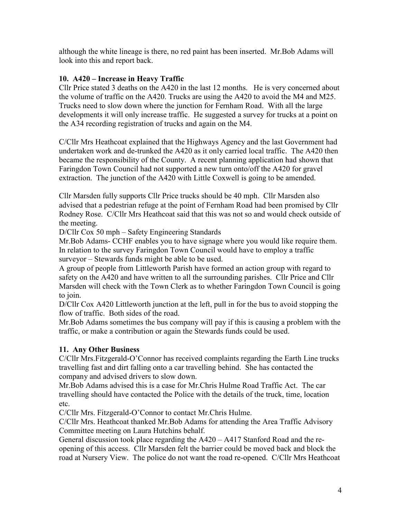although the white lineage is there, no red paint has been inserted. Mr.Bob Adams will look into this and report back.

#### **10. A420 – Increase in Heavy Traffic**

Cllr Price stated 3 deaths on the A420 in the last 12 months. He is very concerned about the volume of traffic on the A420. Trucks are using the A420 to avoid the M4 and M25. Trucks need to slow down where the junction for Fernham Road. With all the large developments it will only increase traffic. He suggested a survey for trucks at a point on the A34 recording registration of trucks and again on the M4.

C/Cllr Mrs Heathcoat explained that the Highways Agency and the last Government had undertaken work and de-trunked the A420 as it only carried local traffic. The A420 then became the responsibility of the County. A recent planning application had shown that Faringdon Town Council had not supported a new turn onto/off the A420 for gravel extraction. The junction of the A420 with Little Coxwell is going to be amended.

Cllr Marsden fully supports Cllr Price trucks should be 40 mph. Cllr Marsden also advised that a pedestrian refuge at the point of Fernham Road had been promised by Cllr Rodney Rose. C/Cllr Mrs Heathcoat said that this was not so and would check outside of the meeting.

D/Cllr Cox 50 mph – Safety Engineering Standards

Mr.Bob Adams- CCHF enables you to have signage where you would like require them. In relation to the survey Faringdon Town Council would have to employ a traffic surveyor – Stewards funds might be able to be used.

A group of people from Littleworth Parish have formed an action group with regard to safety on the A420 and have written to all the surrounding parishes. Cllr Price and Cllr Marsden will check with the Town Clerk as to whether Faringdon Town Council is going to join.

D/Cllr Cox A420 Littleworth junction at the left, pull in for the bus to avoid stopping the flow of traffic. Both sides of the road.

Mr.Bob Adams sometimes the bus company will pay if this is causing a problem with the traffic, or make a contribution or again the Stewards funds could be used.

# **11. Any Other Business**

C/Cllr Mrs.Fitzgerald-O'Connor has received complaints regarding the Earth Line trucks travelling fast and dirt falling onto a car travelling behind. She has contacted the company and advised drivers to slow down.

Mr.Bob Adams advised this is a case for Mr.Chris Hulme Road Traffic Act. The car travelling should have contacted the Police with the details of the truck, time, location etc.

C/Cllr Mrs. Fitzgerald-O'Connor to contact Mr.Chris Hulme.

C/Cllr Mrs. Heathcoat thanked Mr.Bob Adams for attending the Area Traffic Advisory Committee meeting on Laura Hutchins behalf.

General discussion took place regarding the A420 – A417 Stanford Road and the reopening of this access. Cllr Marsden felt the barrier could be moved back and block the road at Nursery View. The police do not want the road re-opened. C/Cllr Mrs Heathcoat